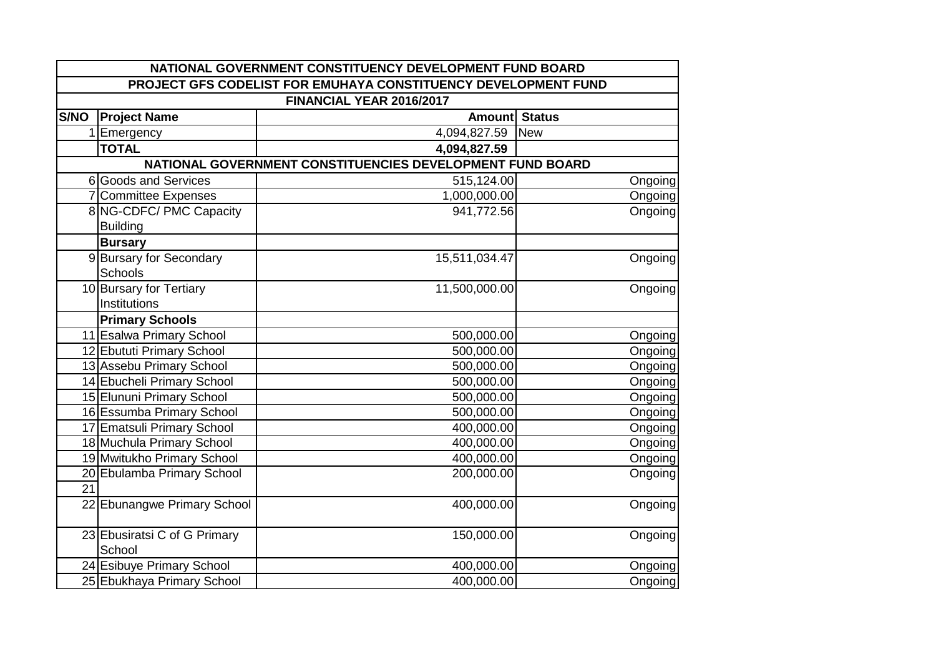| PROJECT GFS CODELIST FOR EMUHAYA CONSTITUENCY DEVELOPMENT FUND<br>FINANCIAL YEAR 2016/2017<br>Amount Status<br><b>Project Name</b><br>Emergency<br>4,094,827.59<br><b>New</b><br>1<br><b>TOTAL</b><br>4,094,827.59<br>NATIONAL GOVERNMENT CONSTITUENCIES DEVELOPMENT FUND BOARD<br>6 Goods and Services<br>515,124.00<br>7 Committee Expenses<br>1,000,000.00<br>Ongoing<br>8 NG-CDFC/ PMC Capacity<br>941,772.56<br><b>Building</b><br><b>Bursary</b><br>9 Bursary for Secondary<br>15,511,034.47<br>Schools<br>10 Bursary for Tertiary<br>11,500,000.00<br>Institutions<br><b>Primary Schools</b><br>11 Esalwa Primary School<br>500,000.00<br>12 Ebututi Primary School<br>500,000.00<br>Ongoing<br>13 Assebu Primary School<br>500,000.00<br>14 Ebucheli Primary School<br>500,000.00<br>15 Elununi Primary School<br>500,000.00<br>16 Essumba Primary School<br>500,000.00<br>17 Ematsuli Primary School<br>400,000.00<br>18 Muchula Primary School<br>400,000.00<br>19 Mwitukho Primary School<br>400,000.00<br>20 Ebulamba Primary School<br>200,000.00<br>21<br>22 Ebunangwe Primary School<br>400,000.00<br>23 Ebusiratsi C of G Primary<br>150,000.00<br>Ongoing<br>School<br>24 Esibuye Primary School<br>400,000.00<br>Ongoing<br>25 Ebukhaya Primary School<br>400,000.00<br>Ongoing | NATIONAL GOVERNMENT CONSTITUENCY DEVELOPMENT FUND BOARD |  |  |         |  |  |
|---------------------------------------------------------------------------------------------------------------------------------------------------------------------------------------------------------------------------------------------------------------------------------------------------------------------------------------------------------------------------------------------------------------------------------------------------------------------------------------------------------------------------------------------------------------------------------------------------------------------------------------------------------------------------------------------------------------------------------------------------------------------------------------------------------------------------------------------------------------------------------------------------------------------------------------------------------------------------------------------------------------------------------------------------------------------------------------------------------------------------------------------------------------------------------------------------------------------------------------------------------------------------------------------------|---------------------------------------------------------|--|--|---------|--|--|
|                                                                                                                                                                                                                                                                                                                                                                                                                                                                                                                                                                                                                                                                                                                                                                                                                                                                                                                                                                                                                                                                                                                                                                                                                                                                                                   |                                                         |  |  |         |  |  |
|                                                                                                                                                                                                                                                                                                                                                                                                                                                                                                                                                                                                                                                                                                                                                                                                                                                                                                                                                                                                                                                                                                                                                                                                                                                                                                   |                                                         |  |  |         |  |  |
|                                                                                                                                                                                                                                                                                                                                                                                                                                                                                                                                                                                                                                                                                                                                                                                                                                                                                                                                                                                                                                                                                                                                                                                                                                                                                                   | S/NO                                                    |  |  |         |  |  |
|                                                                                                                                                                                                                                                                                                                                                                                                                                                                                                                                                                                                                                                                                                                                                                                                                                                                                                                                                                                                                                                                                                                                                                                                                                                                                                   |                                                         |  |  |         |  |  |
|                                                                                                                                                                                                                                                                                                                                                                                                                                                                                                                                                                                                                                                                                                                                                                                                                                                                                                                                                                                                                                                                                                                                                                                                                                                                                                   |                                                         |  |  |         |  |  |
|                                                                                                                                                                                                                                                                                                                                                                                                                                                                                                                                                                                                                                                                                                                                                                                                                                                                                                                                                                                                                                                                                                                                                                                                                                                                                                   |                                                         |  |  |         |  |  |
|                                                                                                                                                                                                                                                                                                                                                                                                                                                                                                                                                                                                                                                                                                                                                                                                                                                                                                                                                                                                                                                                                                                                                                                                                                                                                                   |                                                         |  |  | Ongoing |  |  |
|                                                                                                                                                                                                                                                                                                                                                                                                                                                                                                                                                                                                                                                                                                                                                                                                                                                                                                                                                                                                                                                                                                                                                                                                                                                                                                   |                                                         |  |  |         |  |  |
|                                                                                                                                                                                                                                                                                                                                                                                                                                                                                                                                                                                                                                                                                                                                                                                                                                                                                                                                                                                                                                                                                                                                                                                                                                                                                                   |                                                         |  |  | Ongoing |  |  |
|                                                                                                                                                                                                                                                                                                                                                                                                                                                                                                                                                                                                                                                                                                                                                                                                                                                                                                                                                                                                                                                                                                                                                                                                                                                                                                   |                                                         |  |  |         |  |  |
|                                                                                                                                                                                                                                                                                                                                                                                                                                                                                                                                                                                                                                                                                                                                                                                                                                                                                                                                                                                                                                                                                                                                                                                                                                                                                                   |                                                         |  |  |         |  |  |
|                                                                                                                                                                                                                                                                                                                                                                                                                                                                                                                                                                                                                                                                                                                                                                                                                                                                                                                                                                                                                                                                                                                                                                                                                                                                                                   |                                                         |  |  | Ongoing |  |  |
|                                                                                                                                                                                                                                                                                                                                                                                                                                                                                                                                                                                                                                                                                                                                                                                                                                                                                                                                                                                                                                                                                                                                                                                                                                                                                                   |                                                         |  |  |         |  |  |
|                                                                                                                                                                                                                                                                                                                                                                                                                                                                                                                                                                                                                                                                                                                                                                                                                                                                                                                                                                                                                                                                                                                                                                                                                                                                                                   |                                                         |  |  | Ongoing |  |  |
|                                                                                                                                                                                                                                                                                                                                                                                                                                                                                                                                                                                                                                                                                                                                                                                                                                                                                                                                                                                                                                                                                                                                                                                                                                                                                                   |                                                         |  |  |         |  |  |
|                                                                                                                                                                                                                                                                                                                                                                                                                                                                                                                                                                                                                                                                                                                                                                                                                                                                                                                                                                                                                                                                                                                                                                                                                                                                                                   |                                                         |  |  |         |  |  |
|                                                                                                                                                                                                                                                                                                                                                                                                                                                                                                                                                                                                                                                                                                                                                                                                                                                                                                                                                                                                                                                                                                                                                                                                                                                                                                   |                                                         |  |  | Ongoing |  |  |
|                                                                                                                                                                                                                                                                                                                                                                                                                                                                                                                                                                                                                                                                                                                                                                                                                                                                                                                                                                                                                                                                                                                                                                                                                                                                                                   |                                                         |  |  |         |  |  |
|                                                                                                                                                                                                                                                                                                                                                                                                                                                                                                                                                                                                                                                                                                                                                                                                                                                                                                                                                                                                                                                                                                                                                                                                                                                                                                   |                                                         |  |  | Ongoing |  |  |
|                                                                                                                                                                                                                                                                                                                                                                                                                                                                                                                                                                                                                                                                                                                                                                                                                                                                                                                                                                                                                                                                                                                                                                                                                                                                                                   |                                                         |  |  | Ongoing |  |  |
|                                                                                                                                                                                                                                                                                                                                                                                                                                                                                                                                                                                                                                                                                                                                                                                                                                                                                                                                                                                                                                                                                                                                                                                                                                                                                                   |                                                         |  |  | Ongoing |  |  |
|                                                                                                                                                                                                                                                                                                                                                                                                                                                                                                                                                                                                                                                                                                                                                                                                                                                                                                                                                                                                                                                                                                                                                                                                                                                                                                   |                                                         |  |  | Ongoing |  |  |
|                                                                                                                                                                                                                                                                                                                                                                                                                                                                                                                                                                                                                                                                                                                                                                                                                                                                                                                                                                                                                                                                                                                                                                                                                                                                                                   |                                                         |  |  | Ongoing |  |  |
|                                                                                                                                                                                                                                                                                                                                                                                                                                                                                                                                                                                                                                                                                                                                                                                                                                                                                                                                                                                                                                                                                                                                                                                                                                                                                                   |                                                         |  |  | Ongoing |  |  |
|                                                                                                                                                                                                                                                                                                                                                                                                                                                                                                                                                                                                                                                                                                                                                                                                                                                                                                                                                                                                                                                                                                                                                                                                                                                                                                   |                                                         |  |  | Ongoing |  |  |
|                                                                                                                                                                                                                                                                                                                                                                                                                                                                                                                                                                                                                                                                                                                                                                                                                                                                                                                                                                                                                                                                                                                                                                                                                                                                                                   |                                                         |  |  | Ongoing |  |  |
|                                                                                                                                                                                                                                                                                                                                                                                                                                                                                                                                                                                                                                                                                                                                                                                                                                                                                                                                                                                                                                                                                                                                                                                                                                                                                                   |                                                         |  |  |         |  |  |
|                                                                                                                                                                                                                                                                                                                                                                                                                                                                                                                                                                                                                                                                                                                                                                                                                                                                                                                                                                                                                                                                                                                                                                                                                                                                                                   |                                                         |  |  | Ongoing |  |  |
|                                                                                                                                                                                                                                                                                                                                                                                                                                                                                                                                                                                                                                                                                                                                                                                                                                                                                                                                                                                                                                                                                                                                                                                                                                                                                                   |                                                         |  |  |         |  |  |
|                                                                                                                                                                                                                                                                                                                                                                                                                                                                                                                                                                                                                                                                                                                                                                                                                                                                                                                                                                                                                                                                                                                                                                                                                                                                                                   |                                                         |  |  |         |  |  |
|                                                                                                                                                                                                                                                                                                                                                                                                                                                                                                                                                                                                                                                                                                                                                                                                                                                                                                                                                                                                                                                                                                                                                                                                                                                                                                   |                                                         |  |  |         |  |  |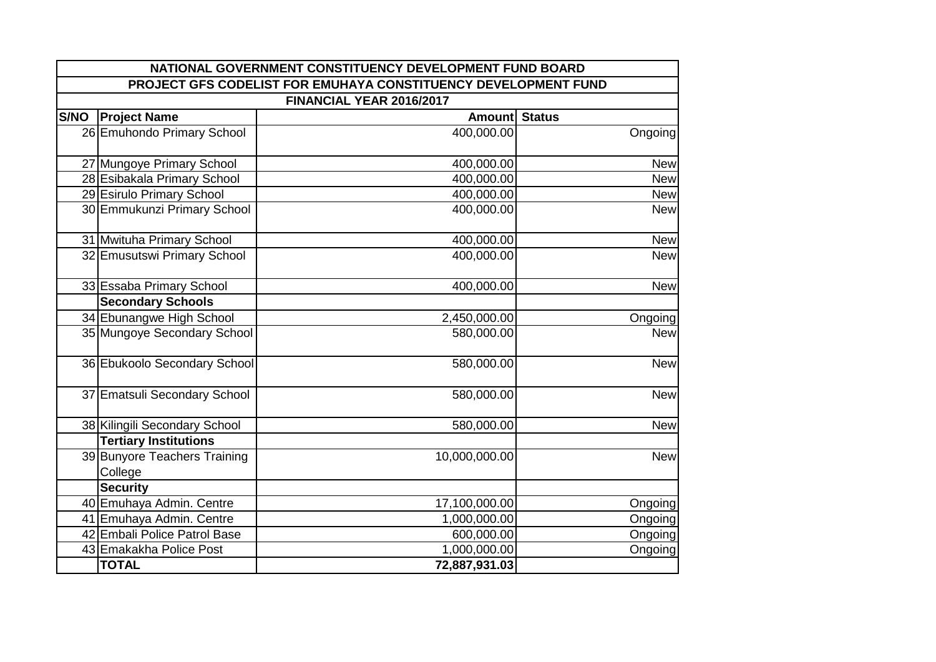|      |                                         | NATIONAL GOVERNMENT CONSTITUENCY DEVELOPMENT FUND BOARD        |            |  |  |
|------|-----------------------------------------|----------------------------------------------------------------|------------|--|--|
|      |                                         | PROJECT GFS CODELIST FOR EMUHAYA CONSTITUENCY DEVELOPMENT FUND |            |  |  |
|      | FINANCIAL YEAR 2016/2017                |                                                                |            |  |  |
| S/NO | <b>Project Name</b>                     | Amount Status                                                  |            |  |  |
|      | 26 Emuhondo Primary School              | 400,000.00                                                     | Ongoing    |  |  |
|      | 27 Mungoye Primary School               | 400,000.00                                                     | <b>New</b> |  |  |
|      | 28 Esibakala Primary School             | 400,000.00                                                     | <b>New</b> |  |  |
|      | 29 Esirulo Primary School               | 400,000.00                                                     | <b>New</b> |  |  |
|      | 30 Emmukunzi Primary School             | 400,000.00                                                     | <b>New</b> |  |  |
|      | 31 Mwituha Primary School               | 400,000.00                                                     | <b>New</b> |  |  |
|      | 32 Emusutswi Primary School             | 400,000.00                                                     | <b>New</b> |  |  |
|      | 33 Essaba Primary School                | 400,000.00                                                     | <b>New</b> |  |  |
|      | <b>Secondary Schools</b>                |                                                                |            |  |  |
|      | 34 Ebunangwe High School                | 2,450,000.00                                                   | Ongoing    |  |  |
|      | 35 Mungoye Secondary School             | 580,000.00                                                     | <b>New</b> |  |  |
|      | 36 Ebukoolo Secondary School            | 580,000.00                                                     | <b>New</b> |  |  |
|      | 37 Ematsuli Secondary School            | 580,000.00                                                     | <b>New</b> |  |  |
|      | 38 Kilingili Secondary School           | 580,000.00                                                     | <b>New</b> |  |  |
|      | <b>Tertiary Institutions</b>            |                                                                |            |  |  |
|      | 39 Bunyore Teachers Training<br>College | 10,000,000.00                                                  | <b>New</b> |  |  |
|      | <b>Security</b>                         |                                                                |            |  |  |
|      | 40 Emuhaya Admin. Centre                | 17,100,000.00                                                  | Ongoing    |  |  |
|      | 41 Emuhaya Admin. Centre                | 1,000,000.00                                                   | Ongoing    |  |  |
|      | 42 Embali Police Patrol Base            | 600,000.00                                                     | Ongoing    |  |  |
|      | 43 Emakakha Police Post                 | 1,000,000.00                                                   | Ongoing    |  |  |
|      | <b>TOTAL</b>                            | 72,887,931.03                                                  |            |  |  |